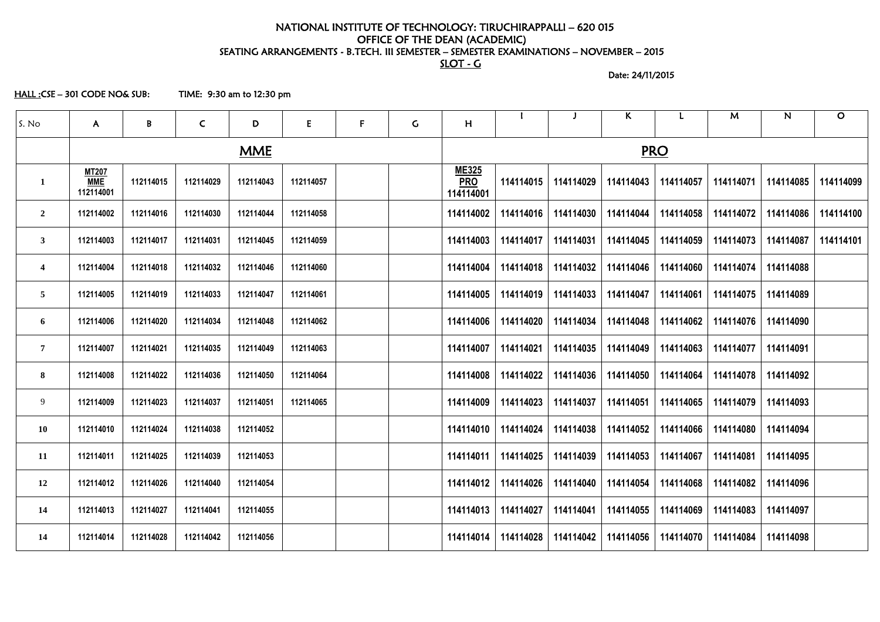# NATIONAL INSTITUTE OF TECHNOLOGY: TIRUCHIRAPPALLI – 620 015 OFFICE OF THE DEAN (ACADEMIC) SEATING ARRANGEMENTS - B.TECH. III SEMESTER – SEMESTER EXAMINATIONS – NOVEMBER – 2015 SLOT - G

Date: 24/11/2015

HALL :CSE – 301 CODE NO& SUB: TIME: 9:30 am to 12:30 pm

| S. No                   | $\mathsf{A}$                            | B         | $\mathsf{C}$ | D         | E.        | $\mathsf{F}$ | $\mathsf C$ | H                                       |           |           | $\mathsf{K}$ | L         | M         | $\mathsf{N}$ | $\mathbf O$ |  |  |
|-------------------------|-----------------------------------------|-----------|--------------|-----------|-----------|--------------|-------------|-----------------------------------------|-----------|-----------|--------------|-----------|-----------|--------------|-------------|--|--|
| <b>MME</b>              |                                         |           |              |           |           |              |             | <b>PRO</b>                              |           |           |              |           |           |              |             |  |  |
| 1                       | <b>MT207</b><br><b>MME</b><br>112114001 | 112114015 | 112114029    | 112114043 | 112114057 |              |             | <b>ME325</b><br><b>PRO</b><br>114114001 | 114114015 | 114114029 | 114114043    | 114114057 | 114114071 | 114114085    | 114114099   |  |  |
| $\overline{2}$          | 112114002                               | 112114016 | 112114030    | 112114044 | 112114058 |              |             | 114114002                               | 114114016 | 114114030 | 114114044    | 114114058 | 114114072 | 114114086    | 114114100   |  |  |
| $\mathbf{3}$            | 112114003                               | 112114017 | 112114031    | 112114045 | 112114059 |              |             | 114114003                               | 114114017 | 114114031 | 114114045    | 114114059 | 114114073 | 114114087    | 114114101   |  |  |
| $\overline{\mathbf{4}}$ | 112114004                               | 112114018 | 112114032    | 112114046 | 112114060 |              |             | 114114004                               | 114114018 | 114114032 | 114114046    | 114114060 | 114114074 | 114114088    |             |  |  |
| $5\phantom{.0}$         | 112114005                               | 112114019 | 112114033    | 112114047 | 112114061 |              |             | 114114005                               | 114114019 | 114114033 | 114114047    | 114114061 | 114114075 | 114114089    |             |  |  |
| 6                       | 112114006                               | 112114020 | 112114034    | 112114048 | 112114062 |              |             | 114114006                               | 114114020 | 114114034 | 114114048    | 114114062 | 114114076 | 114114090    |             |  |  |
| $\overline{7}$          | 112114007                               | 112114021 | 112114035    | 112114049 | 112114063 |              |             | 114114007                               | 114114021 | 114114035 | 114114049    | 114114063 | 114114077 | 114114091    |             |  |  |
| 8                       | 112114008                               | 112114022 | 112114036    | 112114050 | 112114064 |              |             | 114114008                               | 114114022 | 114114036 | 114114050    | 114114064 | 114114078 | 114114092    |             |  |  |
| 9                       | 112114009                               | 112114023 | 112114037    | 112114051 | 112114065 |              |             | 114114009                               | 114114023 | 114114037 | 114114051    | 114114065 | 114114079 | 114114093    |             |  |  |
| <b>10</b>               | 112114010                               | 112114024 | 112114038    | 112114052 |           |              |             | 114114010                               | 114114024 | 114114038 | 114114052    | 114114066 | 114114080 | 114114094    |             |  |  |
| 11                      | 112114011                               | 112114025 | 112114039    | 112114053 |           |              |             | 114114011                               | 114114025 | 114114039 | 114114053    | 114114067 | 114114081 | 114114095    |             |  |  |
| 12                      | 112114012                               | 112114026 | 112114040    | 112114054 |           |              |             | 114114012                               | 114114026 | 114114040 | 114114054    | 114114068 | 114114082 | 114114096    |             |  |  |
| 14                      | 112114013                               | 112114027 | 112114041    | 112114055 |           |              |             | 114114013                               | 114114027 | 114114041 | 114114055    | 114114069 | 114114083 | 114114097    |             |  |  |
| 14                      | 112114014                               | 112114028 | 112114042    | 112114056 |           |              |             | 114114014                               | 114114028 | 114114042 | 114114056    | 114114070 | 114114084 | 114114098    |             |  |  |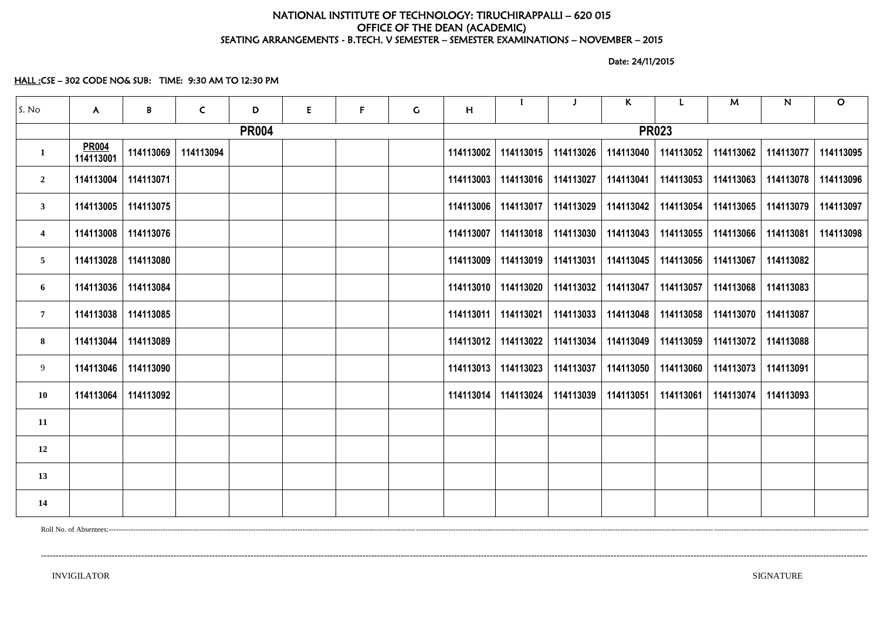# NATIONAL INSTITUTE OF TECHNOLOGY: TIRUCHIRAPPALLI – 620 015 OFFICE OF THE DEAN (ACADEMIC) SEATING ARRANGEMENTS - B.TECH. V SEMESTER – SEMESTER EXAMINATIONS – NOVEMBER – 2015

Date: 24/11/2015

HALL :CSE – 302 CODE NO& SUB: TIME: 9:30 AM TO 12:30 PM

| S. No                   | $\mathsf{A}$              | $\, {\bf B} \,$ | $\mathsf{C}$ | D | E | $\mathsf{F}$ | $\mathsf C$ | H         |                     |                       | $\mathsf{K}$ |           | M                     | N         | $\mathbf O$ |  |  |
|-------------------------|---------------------------|-----------------|--------------|---|---|--------------|-------------|-----------|---------------------|-----------------------|--------------|-----------|-----------------------|-----------|-------------|--|--|
|                         | <b>PR004</b>              |                 |              |   |   |              |             |           | <b>PR023</b>        |                       |              |           |                       |           |             |  |  |
| $\mathbf{1}$            | <b>PR004</b><br>114113001 | 114113069       | 114113094    |   |   |              |             | 114113002 | 114113015           | 114113026             | 114113040    | 114113052 | 114113062             | 114113077 | 114113095   |  |  |
| $\overline{2}$          | 114113004                 | 114113071       |              |   |   |              |             | 114113003 | 114113016           | 114113027             | 114113041    | 114113053 | 114113063             | 114113078 | 114113096   |  |  |
| 3 <sup>1</sup>          | 114113005                 | 114113075       |              |   |   |              |             | 114113006 | 114113017           | 114113029             | 114113042    | 114113054 | 114113065             | 114113079 | 114113097   |  |  |
| $\overline{\mathbf{4}}$ | 114113008                 | 114113076       |              |   |   |              |             | 114113007 |                     | 114113018   114113030 | 114113043    |           | 114113055   114113066 | 114113081 | 114113098   |  |  |
| 5 <sub>5</sub>          | 114113028                 | 114113080       |              |   |   |              |             | 114113009 |                     | 114113019   114113031 | 114113045    |           | 114113056 114113067   | 114113082 |             |  |  |
| 6                       | 114113036                 | 114113084       |              |   |   |              |             | 114113010 | 114113020           | 114113032             | 114113047    | 114113057 | 114113068             | 114113083 |             |  |  |
| $\overline{7}$          | 114113038                 | 114113085       |              |   |   |              |             | 114113011 | 114113021           | 114113033             | 114113048    |           | 114113058   114113070 | 114113087 |             |  |  |
| 8                       | 114113044                 | 114113089       |              |   |   |              |             | 114113012 | 114113022           | 114113034             | 114113049    | 114113059 | 114113072 114113088   |           |             |  |  |
| 9                       | 114113046                 | 114113090       |              |   |   |              |             | 114113013 | 114113023           | 114113037             | 114113050    |           | 114113060   114113073 | 114113091 |             |  |  |
| <b>10</b>               | 114113064                 | 114113092       |              |   |   |              |             |           | 114113014 114113024 | 114113039             | 114113051    |           | 114113061   114113074 | 114113093 |             |  |  |
| 11                      |                           |                 |              |   |   |              |             |           |                     |                       |              |           |                       |           |             |  |  |
| 12                      |                           |                 |              |   |   |              |             |           |                     |                       |              |           |                       |           |             |  |  |
| 13                      |                           |                 |              |   |   |              |             |           |                     |                       |              |           |                       |           |             |  |  |
| 14                      |                           |                 |              |   |   |              |             |           |                     |                       |              |           |                       |           |             |  |  |

Roll No. of Absentees:---------------------------------------------------------------------------------------------------------------------------------------------------------------------------------------------------------------------------------------------------------------------------------------------------------------------

----------------------------------------------------------------------------------------------------------------------------------------------------------------------------------------------------------------------------------------------------------------------------------------